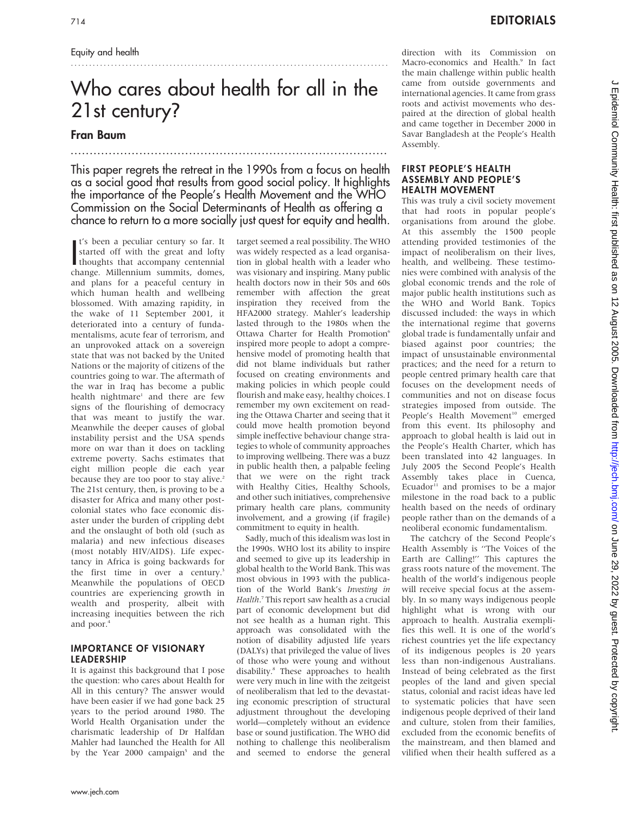# Who cares about health for all in the 21st century?

.......................................................................................

### Fran Baum

This paper regrets the retreat in the 1990s from a focus on health as a social good that results from good social policy. It highlights the importance of the People's Health Movement and the WHO Commission on the Social Determinants of Health as offering a chance to return to a more socially just quest for equity and health.

...................................................................................

I's been a pecular century so far. It<br>started off with the great and lofty<br>thoughts that accompany centennial<br>change Millennium cummite domes t's been a peculiar century so far. It started off with the great and lofty change. Millennium summits, domes, and plans for a peaceful century in which human health and wellbeing blossomed. With amazing rapidity, in the wake of 11 September 2001, it deteriorated into a century of fundamentalisms, acute fear of terrorism, and an unprovoked attack on a sovereign state that was not backed by the United Nations or the majority of citizens of the countries going to war. The aftermath of the war in Iraq has become a public health nightmare<sup>1</sup> and there are few signs of the flourishing of democracy that was meant to justify the war. Meanwhile the deeper causes of global instability persist and the USA spends more on war than it does on tackling extreme poverty. Sachs estimates that eight million people die each year because they are too poor to stay alive.<sup>2</sup> The 21st century, then, is proving to be a disaster for Africa and many other postcolonial states who face economic disaster under the burden of crippling debt and the onslaught of both old (such as malaria) and new infectious diseases (most notably HIV/AIDS). Life expectancy in Africa is going backwards for the first time in over a century.<sup>3</sup> Meanwhile the populations of OECD countries are experiencing growth in wealth and prosperity, albeit with increasing inequities between the rich and poor.<sup>4</sup>

### IMPORTANCE OF VISIONARY LEADERSHIP

It is against this background that I pose the question: who cares about Health for All in this century? The answer would have been easier if we had gone back 25 years to the period around 1980. The World Health Organisation under the charismatic leadership of Dr Halfdan Mahler had launched the Health for All by the Year 2000 campaign<sup>5</sup> and the target seemed a real possibility. The WHO was widely respected as a lead organisation in global health with a leader who was visionary and inspiring. Many public health doctors now in their 50s and 60s remember with affection the great inspiration they received from the HFA2000 strategy. Mahler's leadership lasted through to the 1980s when the Ottawa Charter for Health Promotion<sup>6</sup> inspired more people to adopt a comprehensive model of promoting health that did not blame individuals but rather focused on creating environments and making policies in which people could flourish and make easy, healthy choices. I remember my own excitement on reading the Ottawa Charter and seeing that it could move health promotion beyond simple ineffective behaviour change strategies to whole of community approaches to improving wellbeing. There was a buzz in public health then, a palpable feeling that we were on the right track with Healthy Cities, Healthy Schools, and other such initiatives, comprehensive primary health care plans, community involvement, and a growing (if fragile) commitment to equity in health.

Sadly, much of this idealism was lost in the 1990s. WHO lost its ability to inspire and seemed to give up its leadership in global health to the World Bank. This was most obvious in 1993 with the publication of the World Bank's Investing in Health.<sup>7</sup> This report saw health as a crucial part of economic development but did not see health as a human right. This approach was consolidated with the notion of disability adjusted life years (DALYs) that privileged the value of lives of those who were young and without disability.<sup>8</sup> These approaches to health were very much in line with the zeitgeist of neoliberalism that led to the devastating economic prescription of structural adjustment throughout the developing world—completely without an evidence base or sound justification. The WHO did nothing to challenge this neoliberalism and seemed to endorse the general

direction with its Commission on Macro-economics and Health.<sup>9</sup> In fact the main challenge within public health came from outside governments and international agencies. It came from grass roots and activist movements who despaired at the direction of global health and came together in December 2000 in Savar Bangladesh at the People's Health Assembly.

### FIRST PEOPLE'S HEALTH ASSEMBLY AND PEOPLE'S HEALTH MOVEMENT

This was truly a civil society movement that had roots in popular people's organisations from around the globe. At this assembly the 1500 people attending provided testimonies of the impact of neoliberalism on their lives, health, and wellbeing. These testimonies were combined with analysis of the global economic trends and the role of major public health institutions such as the WHO and World Bank. Topics discussed included: the ways in which the international regime that governs global trade is fundamentally unfair and biased against poor countries; the impact of unsustainable environmental practices; and the need for a return to people centred primary health care that focuses on the development needs of communities and not on disease focus strategies imposed from outside. The People's Health Movement<sup>10</sup> emerged from this event. Its philosophy and approach to global health is laid out in the People's Health Charter, which has been translated into 42 languages. In July 2005 the Second People's Health Assembly takes place in Cuenca, Ecuador $^{11}$  and promises to be a major milestone in the road back to a public health based on the needs of ordinary people rather than on the demands of a neoliberal economic fundamentalism.

The catchcry of the Second People's Health Assembly is ''The Voices of the Earth are Calling!'' This captures the grass roots nature of the movement. The health of the world's indigenous people will receive special focus at the assembly. In so many ways indigenous people highlight what is wrong with our approach to health. Australia exemplifies this well. It is one of the world's richest countries yet the life expectancy of its indigenous peoples is 20 years less than non-indigenous Australians. Instead of being celebrated as the first peoples of the land and given special status, colonial and racist ideas have led to systematic policies that have seen indigenous people deprived of their land and culture, stolen from their families, excluded from the economic benefits of the mainstream, and then blamed and vilified when their health suffered as a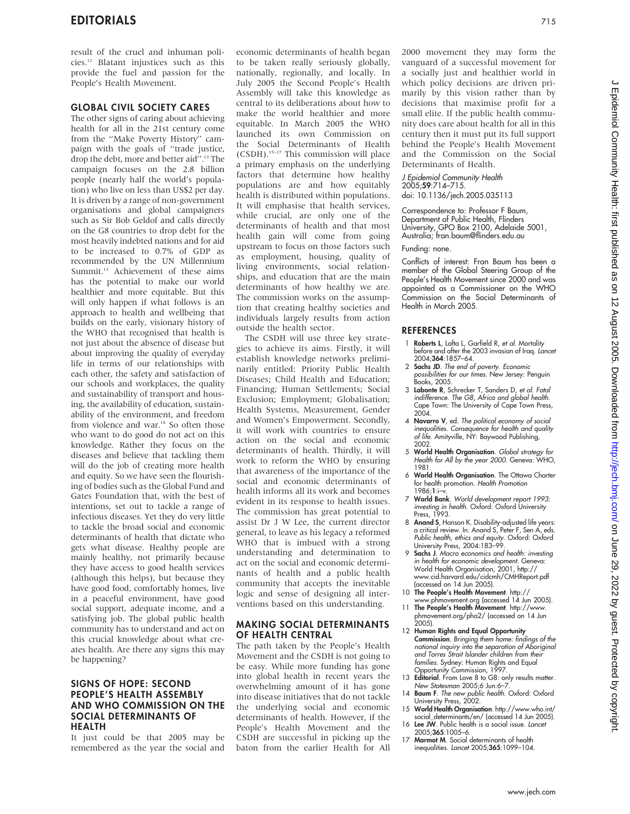result of the cruel and inhuman policies.12 Blatant injustices such as this provide the fuel and passion for the People's Health Movement.

### GLOBAL CIVIL SOCIETY CARES

The other signs of caring about achieving health for all in the 21st century come from the ''Make Poverty History'' campaign with the goals of ''trade justice, drop the debt, more and better aid''.13 The campaign focuses on the 2.8 billion people (nearly half the world's population) who live on less than US\$2 per day. It is driven by a range of non-government organisations and global campaigners such as Sir Bob Geldof and calls directly on the G8 countries to drop debt for the most heavily indebted nations and for aid to be increased to 0.7% of GDP as recommended by the UN Millennium Summit.<sup>13</sup> Achievement of these aims has the potential to make our world healthier and more equitable. But this will only happen if what follows is an approach to health and wellbeing that builds on the early, visionary history of the WHO that recognised that health is not just about the absence of disease but about improving the quality of everyday life in terms of our relationships with each other, the safety and satisfaction of our schools and workplaces, the quality and sustainability of transport and housing, the availability of education, sustainability of the environment, and freedom from violence and war.<sup>14</sup> So often those who want to do good do not act on this knowledge. Rather they focus on the diseases and believe that tackling them will do the job of creating more health and equity. So we have seen the flourishing of bodies such as the Global Fund and Gates Foundation that, with the best of intentions, set out to tackle a range of infectious diseases. Yet they do very little to tackle the broad social and economic determinants of health that dictate who gets what disease. Healthy people are mainly healthy, not primarily because they have access to good health services (although this helps), but because they have good food, comfortably homes, live in a peaceful environment, have good social support, adequate income, and a satisfying job. The global public health community has to understand and act on this crucial knowledge about what creates health. Are there any signs this may be happening?

### SIGNS OF HOPE: SECOND PEOPLE'S HEALTH ASSEMBLY AND WHO COMMISSION ON THE SOCIAL DETERMINANTS OF HEALTH

It just could be that 2005 may be remembered as the year the social and

economic determinants of health began to be taken really seriously globally, nationally, regionally, and locally. In July 2005 the Second People's Health Assembly will take this knowledge as central to its deliberations about how to make the world healthier and more equitable. In March 2005 the WHO launched its own Commission on the Social Determinants of Health (CSDH).15–17 This commission will place a primary emphasis on the underlying factors that determine how healthy populations are and how equitably health is distributed within populations. It will emphasise that health services, while crucial, are only one of the determinants of health and that most health gain will come from going upstream to focus on those factors such as employment, housing, quality of living environments, social relationships, and education that are the main determinants of how healthy we are. The commission works on the assumption that creating healthy societies and individuals largely results from action outside the health sector.

The CSDH will use three key strategies to achieve its aims. Firstly, it will establish knowledge networks preliminarily entitled: Priority Public Health Diseases; Child Health and Education; Financing; Human Settlements; Social Exclusion; Employment; Globalisation; Health Systems, Measurement, Gender and Women's Empowerment. Secondly, it will work with countries to ensure action on the social and economic determinants of health. Thirdly, it will work to reform the WHO by ensuring that awareness of the importance of the social and economic determinants of health informs all its work and becomes evident in its response to health issues. The commission has great potential to assist Dr J W Lee, the current director general, to leave as his legacy a reformed WHO that is imbued with a strong understanding and determination to act on the social and economic determinants of health and a public health community that accepts the inevitable logic and sense of designing all interventions based on this understanding.

### MAKING SOCIAL DETERMINANTS OF HEALTH CENTRAL

The path taken by the People's Health Movement and the CSDH is not going to be easy. While more funding has gone into global health in recent years the overwhelming amount of it has gone into disease initiatives that do not tackle the underlying social and economic determinants of health. However, if the People's Health Movement and the CSDH are successful in picking up the baton from the earlier Health for All

2000 movement they may form the vanguard of a successful movement for a socially just and healthier world in which policy decisions are driven primarily by this vision rather than by decisions that maximise profit for a small elite. If the public health community does care about health for all in this century then it must put its full support behind the People's Health Movement and the Commission on the Social Determinants of Health.

J Epidemiol Community Health 2005;59:714–715. doi: 10.1136/jech.2005.035113

Correspondence to: Professor F Baum, Department of Public Health, Flinders University, GPO Box 2100, Adelaide 5001, Australia; fran.baum@flinders.edu.au

#### Funding: none.

Conflicts of interest: Fran Baum has been a member of the Global Steering Group of the People's Health Movement since 2000 and was appointed as a Commissioner on the WHO Commission on the Social Determinants of Health in March 2005.

### **REFERENCES**

- 1 Roberts L, Lafta L, Garfield R, et al. Mortality before and after the 2003 invasion of Iraq. Lancet 2004;364:1857–64.
- 2 Sachs JD. The end of poverty. Economic possibilities for our times. New Jersey: Penguin Books, 2005.
- 3 Labonte R, Schrecker T, Sanders D, et al. Fatal indifference. The G8, Africa and global health. Cape Town: The University of Cape Town Press, 2004.
- 4 Navarro V, ed. The political economy of social inequalities. Consequence for health and quality of life. Amityville, NY: Baywood Publishing, 2002.
- 5 World Health Organisation. Global strategy for Health for All by the year 2000. Geneva: WHO, 1981.
- 6 World Health Organisation. The Ottawa Charter for health promotion. Health Promotion 1986;1:i–v.
- World Bank. World development report 1993: investing in health. Oxford: Oxford University Press, 1993.
- 8 Anand S, Hanson K. Disability-adjusted life years: a critical review. In: Anand S, Peter F, Sen A, eds. Public health, ethics and equity. Oxford: Oxford University Press, 2004:183–99.
- 9 Sachs J. Macro economics and health: investing in health for economic development. Geneva: World Health Organisation, 2001, http:// www.cid.harvard.edu/cidcmh/CMHReport.pdf (accessed on 14 Jun 2005).
- 10 The People's Health Movement. http://
- www.phmovement.org (accessed 14 Jun 2005). 11 The People's Health Movement. http://www. phmovement.org/pha2/ (accessed on 14 Jun 2005).
- 12 Human Rights and Equal Opportunity Commission. Bringing them home: findings of the national inquiry into the separation of Aboriginal and Torres Strait Islander children from their families. Sydney: Human Rights and Equal Opportunity Commission, 1997.
- 13 Editorial. From Love 8 to G8: only results matter. New Statesman 2005;6 Jun:6-7
- 14 Baum F. The new public health. Oxford: Oxford University Press, 2002.
- 15 World Health Organisation. http://www.who.int/ social\_determinants/en/ (accessed 14 Jun 2005). Lee JW. Public health is a social issue. Lancet
- 2005;365:1005–6. 17 Marmot M. Social determinants of health
- inequalities. Lancet 2005;365:1099–104.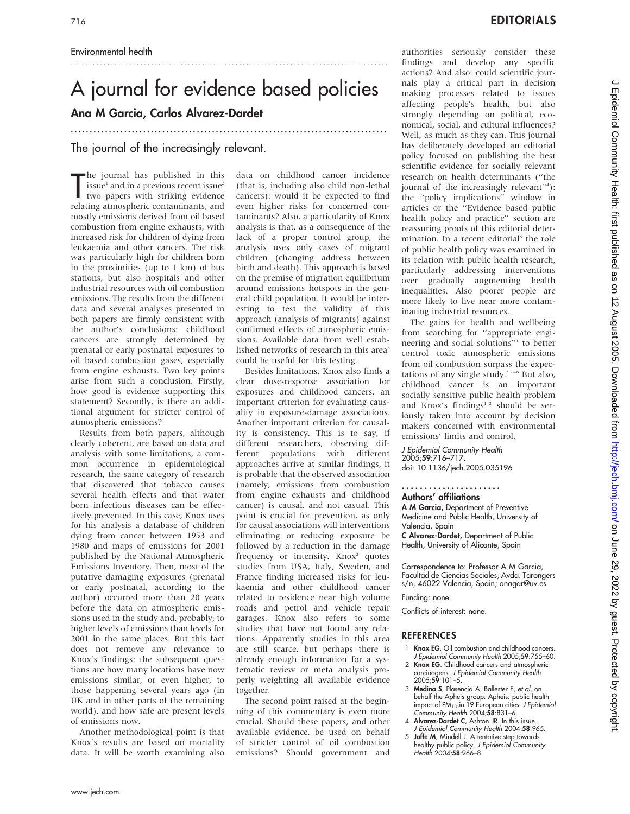### Environmental health

## A journal for evidence based policies Ana M Garcia, Carlos Alvarez-Dardet

.......................................................................................

## ...................................................................................

### The journal of the increasingly relevant.

The journal has published in this<br>
issue<sup>1</sup> and in a previous recent issue<sup>2</sup><br>
two papers with striking evidence<br>
relating atmospheric contaminants, and he journal has published in this issue<sup>1</sup> and in a previous recent issue<sup>2</sup> two papers with striking evidence mostly emissions derived from oil based combustion from engine exhausts, with increased risk for children of dying from leukaemia and other cancers. The risk was particularly high for children born in the proximities (up to 1 km) of bus stations, but also hospitals and other industrial resources with oil combustion emissions. The results from the different data and several analyses presented in both papers are firmly consistent with the author's conclusions: childhood cancers are strongly determined by prenatal or early postnatal exposures to oil based combustion gases, especially from engine exhausts. Two key points arise from such a conclusion. Firstly, how good is evidence supporting this statement? Secondly, is there an additional argument for stricter control of atmospheric emissions?

Results from both papers, although clearly coherent, are based on data and analysis with some limitations, a common occurrence in epidemiological research, the same category of research that discovered that tobacco causes several health effects and that water born infectious diseases can be effectively prevented. In this case, Knox uses for his analysis a database of children dying from cancer between 1953 and 1980 and maps of emissions for 2001 published by the National Atmospheric Emissions Inventory. Then, most of the putative damaging exposures (prenatal or early postnatal, according to the author) occurred more than 20 years before the data on atmospheric emissions used in the study and, probably, to higher levels of emissions than levels for 2001 in the same places. But this fact does not remove any relevance to Knox's findings: the subsequent questions are how many locations have now emissions similar, or even higher, to those happening several years ago (in UK and in other parts of the remaining world), and how safe are present levels of emissions now.

Another methodological point is that Knox's results are based on mortality data. It will be worth examining also data on childhood cancer incidence (that is, including also child non-lethal cancers): would it be expected to find even higher risks for concerned contaminants? Also, a particularity of Knox analysis is that, as a consequence of the lack of a proper control group, the analysis uses only cases of migrant children (changing address between birth and death). This approach is based on the premise of migration equilibrium around emissions hotspots in the general child population. It would be interesting to test the validity of this approach (analysis of migrants) against confirmed effects of atmospheric emissions. Available data from well established networks of research in this area<sup>3</sup> could be useful for this testing.

Besides limitations, Knox also finds a clear dose-response association for exposures and childhood cancers, an important criterion for evaluating causality in exposure-damage associations. Another important criterion for causality is consistency. This is to say, if different researchers, observing different populations with different approaches arrive at similar findings, it is probable that the observed association (namely, emissions from combustion from engine exhausts and childhood cancer) is causal, and not casual. This point is crucial for prevention, as only for causal associations will interventions eliminating or reducing exposure be followed by a reduction in the damage frequency or intensity. Knox<sup>2</sup> quotes studies from USA, Italy, Sweden, and France finding increased risks for leukaemia and other childhood cancer related to residence near high volume roads and petrol and vehicle repair garages. Knox also refers to some studies that have not found any relations. Apparently studies in this area are still scarce, but perhaps there is already enough information for a systematic review or meta analysis properly weighting all available evidence together.

The second point raised at the beginning of this commentary is even more crucial. Should these papers, and other available evidence, be used on behalf of stricter control of oil combustion emissions? Should government and

authorities seriously consider these findings and develop any specific actions? And also: could scientific journals play a critical part in decision making processes related to issues affecting people's health, but also strongly depending on political, economical, social, and cultural influences? Well, as much as they can. This journal has deliberately developed an editorial policy focused on publishing the best scientific evidence for socially relevant research on health determinants (''the journal of the increasingly relevant''4 ): the ''policy implications'' window in articles or the ''Evidence based public health policy and practice'' section are reassuring proofs of this editorial determination. In a recent editorial<sup>5</sup> the role of public health policy was examined in its relation with public health research, particularly addressing interventions over gradually augmenting health inequalities. Also poorer people are more likely to live near more contaminating industrial resources.

The gains for health and wellbeing from searching for ''appropriate engineering and social solutions''1 to better control toxic atmospheric emissions from oil combustion surpass the expectations of any single study. $3^{6-8}$  But also, childhood cancer is an important socially sensitive public health problem and Knox's findings<sup> $12$ </sup> should be seriously taken into account by decision makers concerned with environmental emissions' limits and control.

J Epidemiol Community Health 2005;59:716–717. doi: 10.1136/jech.2005.035196

### ......................

Authors' affiliations

A M Garcia, Department of Preventive Medicine and Public Health, University of Valencia, Spain

C Alvarez-Dardet, Department of Public Health, University of Alicante, Spain

Correspondence to: Professor A M Garcia, Facultad de Ciencias Sociales, Avda. Tarongers s/n, 46022 Valencia, Spain; anagar@uv.es

Funding: none.

Conflicts of interest: none.

### REFERENCES

- 1 Knox EG. Oil combustion and childhood cancers. J Epidemiol Community Health 2005;59:755–60.
- 2 Knox EG. Childhood cancers and atmospheric carcinogens. J Epidemiol Community Health  $2005:59:101-5$ .
- 3 Medina S, Plasencia A, Ballester F, et al, on behalf the Apheis group. Apheis: public health impact of  $PM_{10}$  in 19 European cities. J Epidemiol Community Health 2004;58:831–6.
- 4 Alvarez-Dardet C, Ashton JR. In this issue.
- J Epidemiol Community Health 2004;58:965. 5 Joffe M, Mindell J. A tentative step towards healthy public policy. J Epidemiol Community Health 2004;58:966–8.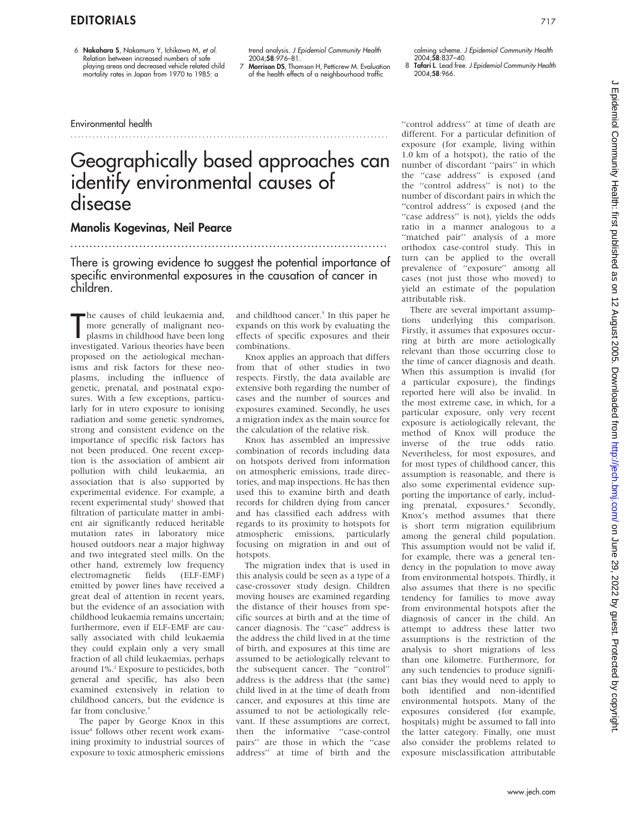## **EDITORIALS** 717

6 Nakahara S, Nakamura Y, Ichikawa M, et al. Relation between increased numbers of safe playing areas and decreased vehicle related child mortality rates in Japan from 1970 to 1985: a

trend analysis. J Epidemiol Community Health 2004;58:976–81.

7 Morrison DS, Thomson H, Petticrew M. Evaluation of the health effects of a neighbourhood traffic

calming scheme. *J Epidemiol Community Health*<br>2004;**58**:837–40.

8 Tafari L. Lead free. J Epidemiol Community Health 2004;58:966.

### Environmental health

# Geographically based approaches can identify environmental causes of disease

.......................................................................................

### Manolis Kogevinas, Neil Pearce

...................................................................................

There is growing evidence to suggest the potential importance of specific environmental exposures in the causation of cancer in children.

The causes of child leukaemia and,<br>
more generally of malignant neo-<br>
plasms in childhood have been long<br>
investigated. Various theories have been he causes of child leukaemia and, more generally of malignant neoplasms in childhood have been long proposed on the aetiological mechanisms and risk factors for these neoplasms, including the influence of genetic, prenatal, and postnatal exposures. With a few exceptions, particularly for in utero exposure to ionising radiation and some genetic syndromes, strong and consistent evidence on the importance of specific risk factors has not been produced. One recent exception is the association of ambient air pollution with child leukaemia, an association that is also supported by experimental evidence. For example, a recent experimental study<sup>1</sup> showed that filtration of particulate matter in ambient air significantly reduced heritable mutation rates in laboratory mice housed outdoors near a major highway and two integrated steel mills. On the other hand, extremely low frequency electromagnetic fields (ELF-EMF) emitted by power lines have received a great deal of attention in recent years, but the evidence of an association with childhood leukaemia remains uncertain; furthermore, even if ELF-EMF are causally associated with child leukaemia they could explain only a very small fraction of all child leukaemias, perhaps around 1%.2 Exposure to pesticides, both general and specific, has also been examined extensively in relation to childhood cancers, but the evidence is far from conclusive.<sup>3</sup>

The paper by George Knox in this issue<sup>4</sup> follows other recent work examining proximity to industrial sources of exposure to toxic atmospheric emissions and childhood cancer.<sup>5</sup> In this paper he expands on this work by evaluating the effects of specific exposures and their combinations.

Knox applies an approach that differs from that of other studies in two respects. Firstly, the data available are extensive both regarding the number of cases and the number of sources and exposures examined. Secondly, he uses a migration index as the main source for the calculation of the relative risk.

Knox has assembled an impressive combination of records including data on hotspots derived from information on atmospheric emissions, trade directories, and map inspections. He has then used this to examine birth and death records for children dying from cancer and has classified each address with regards to its proximity to hotspots for atmospheric emissions, particularly focusing on migration in and out of hotspots.

The migration index that is used in this analysis could be seen as a type of a case-crossover study design. Children moving houses are examined regarding the distance of their houses from specific sources at birth and at the time of cancer diagnosis. The ''case'' address is the address the child lived in at the time of birth, and exposures at this time are assumed to be aetiologically relevant to the subsequent cancer. The ''control'' address is the address that (the same) child lived in at the time of death from cancer, and exposures at this time are assumed to not be aetiologically relevant. If these assumptions are correct, then the informative ''case-control pairs'' are those in which the ''case address'' at time of birth and the

''control address'' at time of death are different. For a particular definition of exposure (for example, living within 1.0 km of a hotspot), the ratio of the number of discordant ''pairs'' in which the ''case address'' is exposed (and the ''control address'' is not) to the number of discordant pairs in which the "control address" is exposed (and the "case address" is not), yields the odds ratio in a manner analogous to a "matched pair" analysis of a more orthodox case-control study. This in turn can be applied to the overall prevalence of ''exposure'' among all cases (not just those who moved) to yield an estimate of the population attributable risk.

There are several important assumptions underlying this comparison. Firstly, it assumes that exposures occurring at birth are more aetiologically relevant than those occurring close to the time of cancer diagnosis and death. When this assumption is invalid (for a particular exposure), the findings reported here will also be invalid. In the most extreme case, in which, for a particular exposure, only very recent exposure is aetiologically relevant, the method of Knox will produce the inverse of the true odds ratio. Nevertheless, for most exposures, and for most types of childhood cancer, this assumption is reasonable, and there is also some experimental evidence supporting the importance of early, including prenatal, exposures.<sup>6</sup> Secondly, Knox's method assumes that there is short term migration equilibrium among the general child population. This assumption would not be valid if, for example, there was a general tendency in the population to move away from environmental hotspots. Thirdly, it also assumes that there is no specific tendency for families to move away from environmental hotspots after the diagnosis of cancer in the child. An attempt to address these latter two assumptions is the restriction of the analysis to short migrations of less than one kilometre. Furthermore, for any such tendencies to produce significant bias they would need to apply to both identified and non-identified environmental hotspots. Many of the exposures considered (for example, hospitals) might be assumed to fall into the latter category. Finally, one must also consider the problems related to exposure misclassification attributable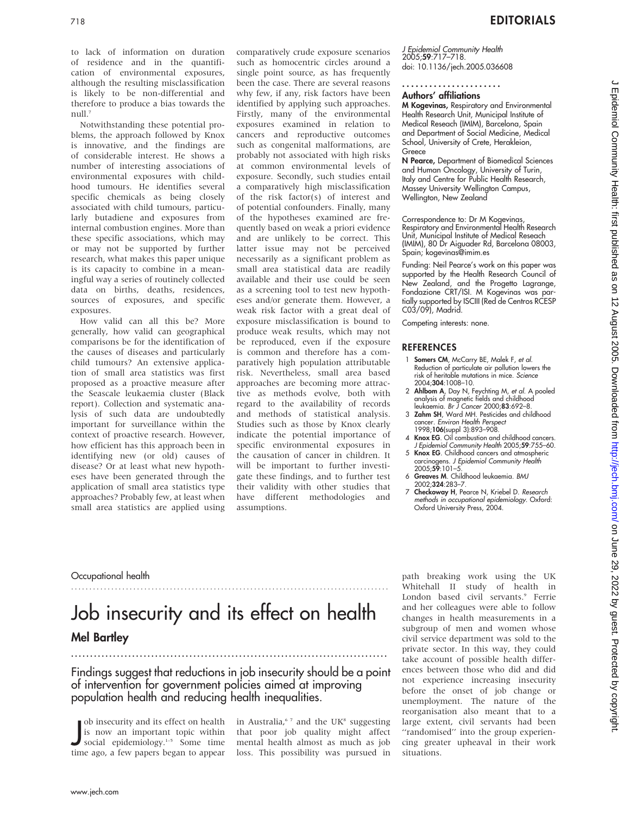to lack of information on duration of residence and in the quantification of environmental exposures, although the resulting misclassification is likely to be non-differential and therefore to produce a bias towards the null.7

Notwithstanding these potential problems, the approach followed by Knox is innovative, and the findings are of considerable interest. He shows a number of interesting associations of environmental exposures with childhood tumours. He identifies several specific chemicals as being closely associated with child tumours, particularly butadiene and exposures from internal combustion engines. More than these specific associations, which may or may not be supported by further research, what makes this paper unique is its capacity to combine in a meaningful way a series of routinely collected data on births, deaths, residences, sources of exposures, and specific exposures.

How valid can all this be? More generally, how valid can geographical comparisons be for the identification of the causes of diseases and particularly child tumours? An extensive application of small area statistics was first proposed as a proactive measure after the Seascale leukaemia cluster (Black report). Collection and systematic analysis of such data are undoubtedly important for surveillance within the context of proactive research. However, how efficient has this approach been in identifying new (or old) causes of disease? Or at least what new hypotheses have been generated through the application of small area statistics type approaches? Probably few, at least when small area statistics are applied using

comparatively crude exposure scenarios such as homocentric circles around a single point source, as has frequently been the case. There are several reasons why few, if any, risk factors have been identified by applying such approaches. Firstly, many of the environmental exposures examined in relation to cancers and reproductive outcomes such as congenital malformations, are probably not associated with high risks at common environmental levels of exposure. Secondly, such studies entail a comparatively high misclassification of the risk factor(s) of interest and of potential confounders. Finally, many of the hypotheses examined are frequently based on weak a priori evidence and are unlikely to be correct. This latter issue may not be perceived necessarily as a significant problem as small area statistical data are readily available and their use could be seen as a screening tool to test new hypotheses and/or generate them. However, a weak risk factor with a great deal of exposure misclassification is bound to produce weak results, which may not be reproduced, even if the exposure is common and therefore has a comparatively high population attributable risk. Nevertheless, small area based approaches are becoming more attractive as methods evolve, both with regard to the availability of records and methods of statistical analysis. Studies such as those by Knox clearly indicate the potential importance of specific environmental exposures in the causation of cancer in children. It will be important to further investigate these findings, and to further test their validity with other studies that have different methodologies and assumptions.

J Epidemiol Community Health<br>2005;**59**:717–718. doi: 10.1136/jech.2005.036608

Authors' affiliations ......................

M Kogevinas, Respiratory and Environmental Health Research Unit, Municipal Institute of Medical Reseach (IMIM), Barcelona, Spain and Department of Social Medicine, Medical School, University of Crete, Herakleion, Greece

N Pearce, Department of Biomedical Sciences and Human Oncology, University of Turin, Italy and Centre for Public Health Research, Massey University Wellington Campus, Wellington, New Zealand

Correspondence to: Dr M Kogevinas, Respiratory and Environmental Health Research Unit, Municipal Institute of Medical Reseach (IMIM), 80 Dr Aiguader Rd, Barcelona 08003, Spain; kogevinas@imim.es

Funding: Neil Pearce's work on this paper was supported by the Health Research Council of New Zealand, and the Progetto Lagrange, Fondazione CRT/ISI. M Kogevinas was partially supported by ISCIII (Red de Centros RCESP C03/09), Madrid.

Competing interests: none.

### REFERENCES

- 1 Somers CM, McCarry BE, Malek F, et al. Reduction of particulate air pollution lowers the risk of heritable mutations in mice. Science 2004;304:1008–10.
- 2 Ahlbom A, Day N, Feychting M, *et al.* A pooled<br>analysis of magnetic fields and childhood<br>leukaemia. *Br J Cancer* 2000;**83**:692–8.
- 3 Zahm SH, Ward MH. Pesticides and childhood cancer. Environ Health Perspect
- 1998;106(suppl 3):893–908. 4 Knox EG. Oil combustion and childhood cancers. J Epidemiol Community Health 2005;59:755-60.
- 5 Knox EG. Childhood cancers and atmospheric carcinogens. *J Epidemiol Community Health*<br>2005;**59**:101–5.
- 6 Greaves M. Childhood leukaemia. BMJ 2002;324:283–7.
- 7 Checkoway H, Pearce N, Kriebel D. Research methods in occupational epidemiology. Oxford: Oxford University Press, 2004.

### Occupational health

## Job insecurity and its effect on health Mel Bartley

.......................................................................................

## Findings suggest that reductions in job insecurity should be a point of intervention for government policies aimed at improving population health and reducing health inequalities.

...................................................................................

Job insecurity and its effect on health<br>is now an important topic within<br>social epidemiology.<sup>1-5</sup> Some time<br>time ago, a few papers began to appear ob insecurity and its effect on health is now an important topic within social epidemiology.<sup>1-5</sup> Some time

in Australia, $67$  and the UK<sup>8</sup> suggesting that poor job quality might affect mental health almost as much as job loss. This possibility was pursued in path breaking work using the UK Whitehall II study of health in London based civil servants.<sup>9</sup> Ferrie and her colleagues were able to follow changes in health measurements in a subgroup of men and women whose civil service department was sold to the private sector. In this way, they could take account of possible health differences between those who did and did not experience increasing insecurity before the onset of job change or unemployment. The nature of the reorganisation also meant that to a large extent, civil servants had been ''randomised'' into the group experiencing greater upheaval in their work situations.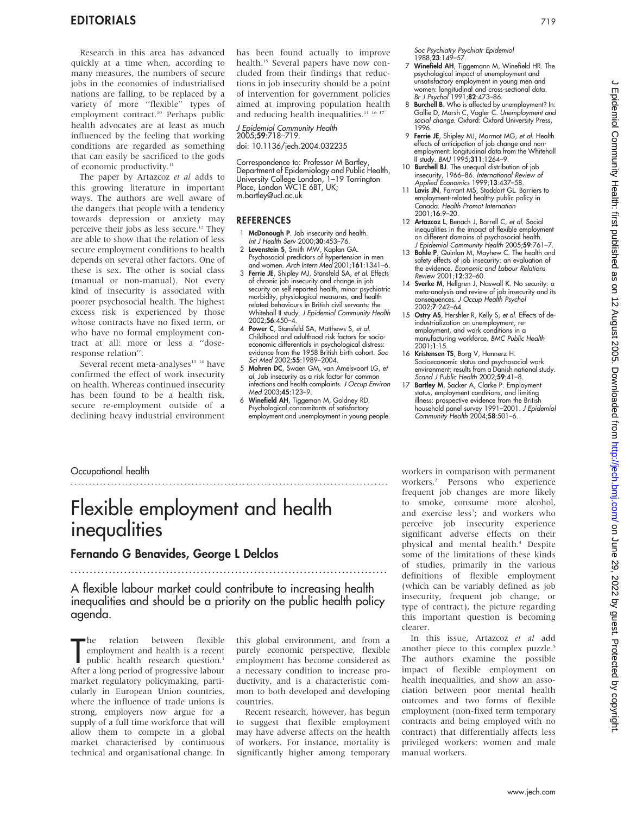Research in this area has advanced quickly at a time when, according to many measures, the numbers of secure jobs in the economies of industrialised nations are falling, to be replaced by a variety of more ''flexible'' types of employment contract.10 Perhaps public health advocates are at least as much influenced by the feeling that working conditions are regarded as something that can easily be sacrificed to the gods of economic productivity.<sup>11</sup>

The paper by Artazcoz et al adds to this growing literature in important ways. The authors are well aware of the dangers that people with a tendency towards depression or anxiety may perceive their jobs as less secure.<sup>12</sup> They are able to show that the relation of less secure employment conditions to health depends on several other factors. One of these is sex. The other is social class (manual or non-manual). Not every kind of insecurity is associated with poorer psychosocial health. The highest excess risk is experienced by those whose contracts have no fixed term, or who have no formal employment contract at all: more or less a ''doseresponse relation''.

Several recent meta-analyses $13$   $14$  have confirmed the effect of work insecurity on health. Whereas continued insecurity has been found to be a health risk, secure re-employment outside of a declining heavy industrial environment has been found actually to improve health.<sup>15</sup> Several papers have now concluded from their findings that reductions in job insecurity should be a point of intervention for government policies aimed at improving population health and reducing health inequalities.<sup>11 16</sup> <sup>17</sup>

J Epidemiol Community Health 2005;59:718–719. doi: 10.1136/jech.2004.032235

Correspondence to: Professor M Bartley, Department of Epidemiology and Public Health, University College London, 1–19 Torrington Place, London WC1E 6BT, UK; m.bartley@ucl.ac.uk

### **REFERENCES**

- 1 **McDonough P**. Job insecurity and health. Int J Health Serv 2000;30:453–76.
- 2 Levenstein S, Smith MW, Kaplan GA. Psychosocial predictors of hypertension in men and women. Arch Intern Med 2001;161:1341–6.
- 3 Ferrie JE, Shipley MJ, Stansfeld SA, et al. Effects of chronic job insecurity and change in job security on self reported health, minor psychiatric morbidity, physiological measures, and health related behaviours in British civil servants: the<br>Whitehall II study. *J Epidemiol Community Health* 2002;56:450–4.
- 4 Power C, Stansfeld SA, Matthews S, et al. Childhood and adulthood risk factors for socioeconomic differentials in psychological distress: evidence from the 1958 British birth cohort. Soc Sci Med 2002;55:1989-2004.
- 5 Mohren DC, Swaen GM, van Amelsvoort LG, et al. Job insecurity as a risk factor for common infections and health complaints. J Occup Environ Med 2003;45:123–9.
- 6 Winefield AH, Tiggeman M, Goldney RD. Psychological concomitants of satisfactory employment and unemployment in young people.

.......................................................................................

Soc Psychiatry Psychiatr Epidemiol<br>1988;**23**:149–57.

- 7 Winefield AH, Tiggemann M, Winefield HR. The psychological impact of unemployment and unsatisfactory employment in young men and women: longitudinal and cross-sectional data. Br J Psychol 1991;82:473–86.
- 8 **Burchell B**. Who is affected by unemployment? In:<br>Gallie D, Marsh C, Vogler C. Un*employment and* social change. Oxford: Oxford University Press, 1996.
- 9 Ferrie JE, Shipley MJ, Marmot MG, et al. Health effects of anticipation of job change and nonemployment: longitudinal data from the Whitehall Il study. BMJ 1995;311:1264-9.
- 10 Burchell BJ. The unequal distribution of job insecurity, 1966–86. International Review of Applied Economics 1999;13:437–58.
- 11 Lavis JN, Farrant MS, Stoddart GL. Barriers to employment-related healthy public policy in Canada. Health Promot Internation 2001;16:9–20.
- 12 Artazcoz L, Benach J, Borrell C, et al. Social inequalities in the impact of flexible employment on different domains of psychosocial health. J Epidemiol Community Health 2005;59:761–7.
- 13 Bohle P, Quinlan M, Mayhew C. The health and safety effects of job insecurity: an evaluation of the evidence. Economic and Labour Relations Review 2001;12:32–60.
- 14 Sverke M, Hellgren J, Naswall K. No security: a meta-analysis and review of job insecurity and its consequences. J Occup Health Psychol 2002;7:242–64.
- 15 Ostry AS, Hershler R, Kelly S, et al. Effects of deindustrialization on unemployment, reemployment, and work conditions in a manufacturing workforce. BMC Public Health 2001;1:15.
- 16 Kristensen TS, Borg V, Hannerz H. Socioeconomic status and psychosocial work environment: results from a Danish national study. Scand J Public Health 2002;59:41–8.
- 17 Bartley M, Sacker A, Clarke P. Employment status, employment conditions, and limiting illness: prospective evidence from the British household panel survey 1991–2001. *J Epidemiol*<br>Community Health 2004;**58**:501–6.

### Occupational health

# Flexible employment and health inequalities

### Fernando G Benavides, George L Delclos

A flexible labour market could contribute to increasing health inequalities and should be a priority on the public health policy agenda.

The relation between itexible<br>
employment and health is a recent<br>
public health research question.<sup>1</sup> he relation between flexible employment and health is a recent After a long period of progressive labour market regulatory policymaking, particularly in European Union countries, where the influence of trade unions is strong, employers now argue for a supply of a full time workforce that will allow them to compete in a global market characterised by continuous technical and organisational change. In

this global environment, and from a purely economic perspective, flexible employment has become considered as a necessary condition to increase productivity, and is a characteristic common to both developed and developing countries.

...................................................................................

Recent research, however, has begun to suggest that flexible employment may have adverse affects on the health of workers. For instance, mortality is significantly higher among temporary workers in comparison with permanent workers.2 Persons who experience frequent job changes are more likely to smoke, consume more alcohol, and exercise less<sup>3</sup>; and workers who perceive job insecurity experience significant adverse effects on their physical and mental health.4 Despite some of the limitations of these kinds of studies, primarily in the various definitions of flexible employment (which can be variably defined as job insecurity, frequent job change, or type of contract), the picture regarding this important question is becoming clearer.

In this issue, Artazcoz et al add another piece to this complex puzzle.<sup>5</sup> The authors examine the possible impact of flexible employment on health inequalities, and show an association between poor mental health outcomes and two forms of flexible employment (non-fixed term temporary contracts and being employed with no contract) that differentially affects less privileged workers: women and male manual workers.